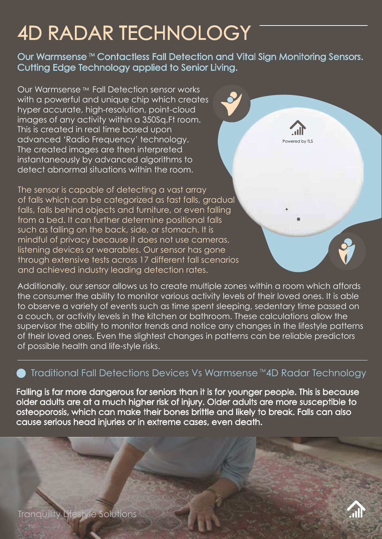## 4D RADAR TECHNOLOGY

Our Warmsense<sup>™</sup> Contactless Fall Detection and Vital Sign Monitoring Sensors. Cutting Edge Technology applied to Senior Living.

Powered by TLS

Our Warmsense ™ Fall Detection sensor works with a powerful and unique chip which creates hyper accurate, high-resolution, point-cloud images of any activity within a 350Sq.Ft room. This is created in real time based upon advanced 'Radio Frequency' technology. The created images are then interpreted instantaneously by advanced algorithms to detect abnormal situations within the room.

The sensor is capable of detecting a vast array of falls which can be categorized as fast falls, gradual falls, falls behind objects and furniture, or even falling from a bed. It can further determine positional falls such as falling on the back, side, or stomach. It is mindful of privacy because it does not use cameras, listening devices or wearables. Our sensor has gone through extensive tests across 17 different fall scenarios and achieved industry leading detection rates.

Additionally, our sensor allows us to create multiple zones within a room which affords the consumer the ability to monitor various activity levels of their loved ones. It is able to observe a variety of events such as time spent sleeping, sedentary time passed on a couch, or activity levels in the kitchen or bathroom. These calculations allow the supervisor the ability to monitor trends and notice any changes in the lifestyle patterns of their loved ones. Even the slightest changes in patterns can be reliable predictors of possible health and life-style risks.

## Traditional Fall Detections Devices Vs Warmsense<sup>™4D</sup> Radar Technology

Falling is far more dangerous for seniors than it is for younger people. This is because older adults are at a much higher risk of injury. Older adults are more susceptible to osteoporosis, which can make their bones brittle and likely to break. Falls can also cause serious head injuries or in extreme cases, even death.